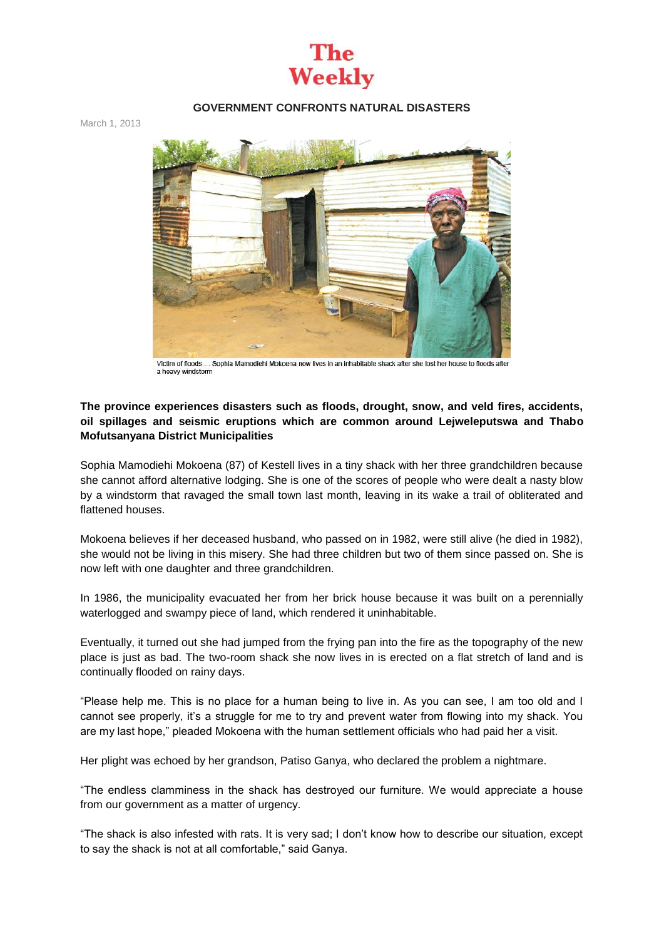## The **Weekly**

#### **GOVERNMENT CONFRONTS NATURAL DISASTERS**

March 1, 2013



Victim of floods Sophia Mamodiehi Mokoena now lives in an inhabitable shack after she lost her house to floods after a heavy windstorm

### **The province experiences disasters such as floods, drought, snow, and veld fires, accidents, oil spillages and seismic eruptions which are common around Lejweleputswa and Thabo Mofutsanyana District Municipalities**

Sophia Mamodiehi Mokoena (87) of Kestell lives in a tiny shack with her three grandchildren because she cannot afford alternative lodging. She is one of the scores of people who were dealt a nasty blow by a windstorm that ravaged the small town last month, leaving in its wake a trail of obliterated and flattened houses.

Mokoena believes if her deceased husband, who passed on in 1982, were still alive (he died in 1982), she would not be living in this misery. She had three children but two of them since passed on. She is now left with one daughter and three grandchildren.

In 1986, the municipality evacuated her from her brick house because it was built on a perennially waterlogged and swampy piece of land, which rendered it uninhabitable.

Eventually, it turned out she had jumped from the frying pan into the fire as the topography of the new place is just as bad. The two-room shack she now lives in is erected on a flat stretch of land and is continually flooded on rainy days.

"Please help me. This is no place for a human being to live in. As you can see, I am too old and I cannot see properly, it's a struggle for me to try and prevent water from flowing into my shack. You are my last hope," pleaded Mokoena with the human settlement officials who had paid her a visit.

Her plight was echoed by her grandson, Patiso Ganya, who declared the problem a nightmare.

"The endless clamminess in the shack has destroyed our furniture. We would appreciate a house from our government as a matter of urgency.

"The shack is also infested with rats. It is very sad; I don't know how to describe our situation, except to say the shack is not at all comfortable," said Ganya.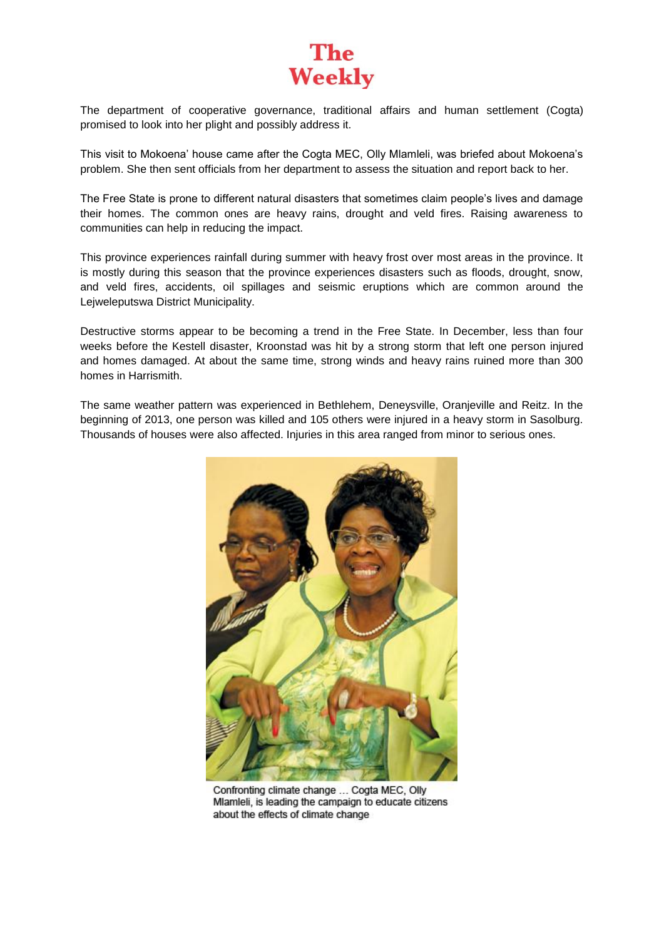

The department of cooperative governance, traditional affairs and human settlement (Cogta) promised to look into her plight and possibly address it.

This visit to Mokoena' house came after the Cogta MEC, Olly Mlamleli, was briefed about Mokoena's problem. She then sent officials from her department to assess the situation and report back to her.

The Free State is prone to different natural disasters that sometimes claim people's lives and damage their homes. The common ones are heavy rains, drought and veld fires. Raising awareness to communities can help in reducing the impact.

This province experiences rainfall during summer with heavy frost over most areas in the province. It is mostly during this season that the province experiences disasters such as floods, drought, snow, and veld fires, accidents, oil spillages and seismic eruptions which are common around the Lejweleputswa District Municipality.

Destructive storms appear to be becoming a trend in the Free State. In December, less than four weeks before the Kestell disaster, Kroonstad was hit by a strong storm that left one person injured and homes damaged. At about the same time, strong winds and heavy rains ruined more than 300 homes in Harrismith.

The same weather pattern was experienced in Bethlehem, Deneysville, Oranjeville and Reitz. In the beginning of 2013, one person was killed and 105 others were injured in a heavy storm in Sasolburg. Thousands of houses were also affected. Injuries in this area ranged from minor to serious ones.



Confronting climate change ... Cogta MEC, Olly Mlamleli, is leading the campaign to educate citizens about the effects of climate change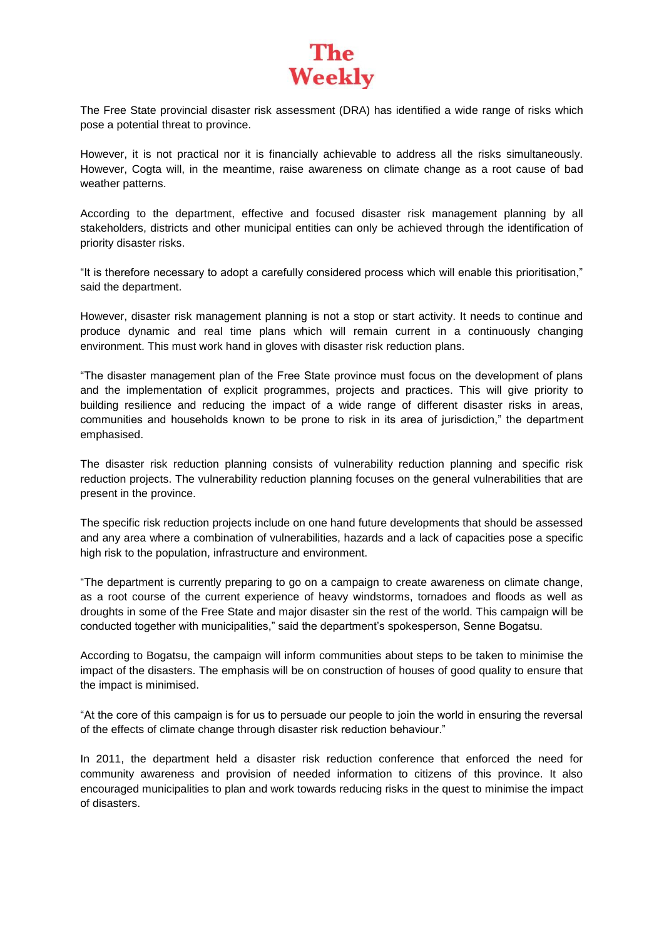## **The Weekly**

The Free State provincial disaster risk assessment (DRA) has identified a wide range of risks which pose a potential threat to province.

However, it is not practical nor it is financially achievable to address all the risks simultaneously. However, Cogta will, in the meantime, raise awareness on climate change as a root cause of bad weather patterns.

According to the department, effective and focused disaster risk management planning by all stakeholders, districts and other municipal entities can only be achieved through the identification of priority disaster risks.

"It is therefore necessary to adopt a carefully considered process which will enable this prioritisation," said the department.

However, disaster risk management planning is not a stop or start activity. It needs to continue and produce dynamic and real time plans which will remain current in a continuously changing environment. This must work hand in gloves with disaster risk reduction plans.

"The disaster management plan of the Free State province must focus on the development of plans and the implementation of explicit programmes, projects and practices. This will give priority to building resilience and reducing the impact of a wide range of different disaster risks in areas, communities and households known to be prone to risk in its area of jurisdiction," the department emphasised.

The disaster risk reduction planning consists of vulnerability reduction planning and specific risk reduction projects. The vulnerability reduction planning focuses on the general vulnerabilities that are present in the province.

The specific risk reduction projects include on one hand future developments that should be assessed and any area where a combination of vulnerabilities, hazards and a lack of capacities pose a specific high risk to the population, infrastructure and environment.

"The department is currently preparing to go on a campaign to create awareness on climate change, as a root course of the current experience of heavy windstorms, tornadoes and floods as well as droughts in some of the Free State and major disaster sin the rest of the world. This campaign will be conducted together with municipalities," said the department's spokesperson, Senne Bogatsu.

According to Bogatsu, the campaign will inform communities about steps to be taken to minimise the impact of the disasters. The emphasis will be on construction of houses of good quality to ensure that the impact is minimised.

"At the core of this campaign is for us to persuade our people to join the world in ensuring the reversal of the effects of climate change through disaster risk reduction behaviour."

In 2011, the department held a disaster risk reduction conference that enforced the need for community awareness and provision of needed information to citizens of this province. It also encouraged municipalities to plan and work towards reducing risks in the quest to minimise the impact of disasters.